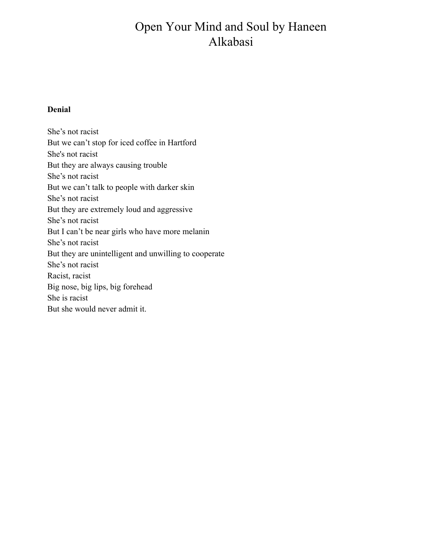## Open Your Mind and Soul by Haneen Alkabasi

## **Denial**

She's not racist But we can't stop for iced coffee in Hartford She's not racist But they are always causing trouble She's not racist But we can't talk to people with darker skin She's not racist But they are extremely loud and aggressive She's not racist But I can't be near girls who have more melanin She's not racist But they are unintelligent and unwilling to cooperate She's not racist Racist, racist Big nose, big lips, big forehead She is racist But she would never admit it.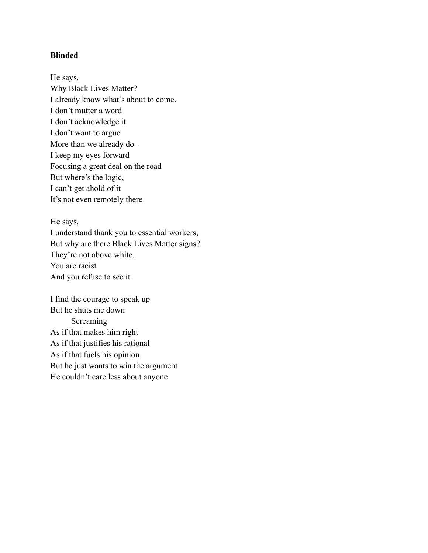## **Blinded**

He says, Why Black Lives Matter? I already know what's about to come. I don't mutter a word I don't acknowledge it I don't want to argue More than we already do– I keep my eyes forward Focusing a great deal on the road But where's the logic, I can't get ahold of it It's not even remotely there

He says, I understand thank you to essential workers; But why are there Black Lives Matter signs? They're not above white. You are racist And you refuse to see it

I find the courage to speak up But he shuts me down **Screaming** As if that makes him right As if that justifies his rational As if that fuels his opinion But he just wants to win the argument He couldn't care less about anyone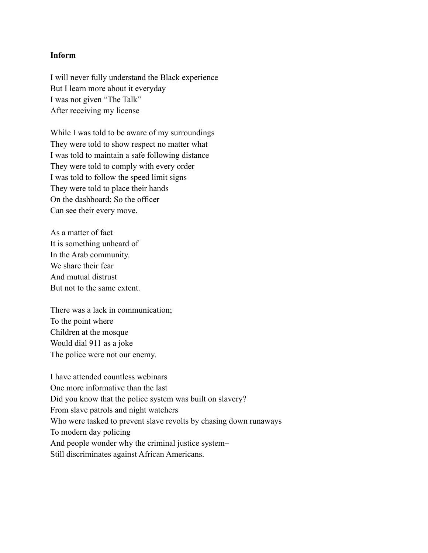## **Inform**

I will never fully understand the Black experience But I learn more about it everyday I was not given "The Talk" After receiving my license

While I was told to be aware of my surroundings They were told to show respect no matter what I was told to maintain a safe following distance They were told to comply with every order I was told to follow the speed limit signs They were told to place their hands On the dashboard; So the officer Can see their every move.

As a matter of fact It is something unheard of In the Arab community. We share their fear And mutual distrust But not to the same extent.

There was a lack in communication; To the point where Children at the mosque Would dial 911 as a joke The police were not our enemy.

I have attended countless webinars One more informative than the last Did you know that the police system was built on slavery? From slave patrols and night watchers Who were tasked to prevent slave revolts by chasing down runaways To modern day policing And people wonder why the criminal justice system– Still discriminates against African Americans.